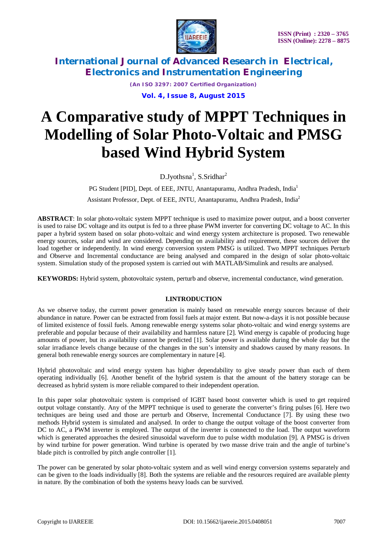

*(An ISO 3297: 2007 Certified Organization)* **Vol. 4, Issue 8, August 2015**

# **A Comparative study of MPPT Techniques in Modelling of Solar Photo-Voltaic and PMSG based Wind Hybrid System**

D.Jyothsna<sup>1</sup>, S.Sridhar<sup>2</sup>

PG Student [PID], Dept. of EEE, JNTU, Anantapuramu, Andhra Pradesh, India<sup>1</sup> Assistant Professor, Dept. of EEE, JNTU, Anantapuramu, Andhra Pradesh, India<sup>2</sup>

**ABSTRACT**: In solar photo-voltaic system MPPT technique is used to maximize power output, and a boost converter is used to raise DC voltage and its output is fed to a three phase PWM inverter for converting DC voltage to AC. In this paper a hybrid system based on solar photo-voltaic and wind energy system architecture is proposed. Two renewable energy sources, solar and wind are considered. Depending on availability and requirement, these sources deliver the load together or independently. In wind energy conversion system PMSG is utilized. Two MPPT techniques Perturb and Observe and Incremental conductance are being analysed and compared in the design of solar photo-voltaic system. Simulation study of the proposed system is carried out with MATLAB/Simulink and results are analysed.

**KEYWORDS:** Hybrid system, photovoltaic system, perturb and observe, incremental conductance, wind generation.

# **I.INTRODUCTION**

As we observe today, the current power generation is mainly based on renewable energy sources because of their abundance in nature. Power can be extracted from fossil fuels at major extent. But now-a-days it is not possible because of limited existence of fossil fuels. Among renewable energy systems solar photo-voltaic and wind energy systems are preferable and popular because of their availability and harmless nature [2]. Wind energy is capable of producing huge amounts of power, but its availability cannot be predicted [1]. Solar power is available during the whole day but the solar irradiance levels change because of the changes in the sun's intensity and shadows caused by many reasons. In general both renewable energy sources are complementary in nature [4].

Hybrid photovoltaic and wind energy system has higher dependability to give steady power than each of them operating individually [6]. Another benefit of the hybrid system is that the amount of the battery storage can be decreased as hybrid system is more reliable compared to their independent operation.

In this paper solar photovoltaic system is comprised of IGBT based boost converter which is used to get required output voltage constantly. Any of the MPPT technique is used to generate the converter's firing pulses [6]. Here two techniques are being used and those are perturb and Observe, Incremental Conductance [7]. By using these two methods Hybrid system is simulated and analysed. In order to change the output voltage of the boost converter from DC to AC, a PWM inverter is employed. The output of the inverter is connected to the load. The output waveform which is generated approaches the desired sinusoidal waveform due to pulse width modulation [9]. A PMSG is driven by wind turbine for power generation. Wind turbine is operated by two masse drive train and the angle of turbine's blade pitch is controlled by pitch angle controller [1].

The power can be generated by solar photo-voltaic system and as well wind energy conversion systems separately and can be given to the loads individually [8]. Both the systems are reliable and the resources required are available plenty in nature. By the combination of both the systems heavy loads can be survived.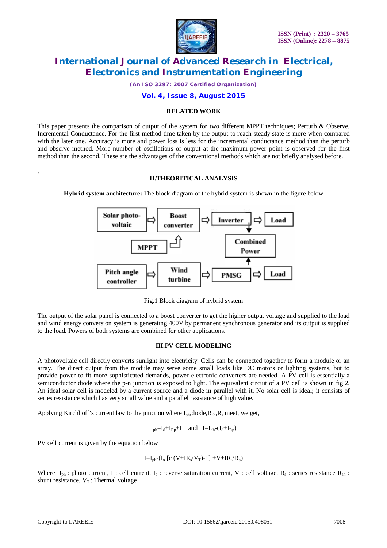

*(An ISO 3297: 2007 Certified Organization)*

# **Vol. 4, Issue 8, August 2015**

### **RELATED WORK**

This paper presents the comparison of output of the system for two different MPPT techniques; Perturb & Observe, Incremental Conductance. For the first method time taken by the output to reach steady state is more when compared with the later one. Accuracy is more and power loss is less for the incremental conductance method than the perturb and observe method. More number of oscillations of output at the maximum power point is observed for the first method than the second. These are the advantages of the conventional methods which are not briefly analysed before.

### **II.THEORITICAL ANALYSIS**

**Hybrid system architecture:** The block diagram of the hybrid system is shown in the figure below



Fig.1 Block diagram of hybrid system

The output of the solar panel is connected to a boost converter to get the higher output voltage and supplied to the load and wind energy conversion system is generating 400V by permanent synchronous generator and its output is supplied to the load. Powers of both systems are combined for other applications.

### **III.PV CELL MODELING**

A photovoltaic cell directly converts sunlight into electricity. Cells can be connected together to form a module or an array. The direct output from the module may serve some small loads like DC motors or lighting systems, but to provide power to fit more sophisticated demands, power electronic converters are needed. A PV cell is essentially a semiconductor diode where the p-n junction is exposed to light. The equivalent circuit of a PV cell is shown in fig.2. An ideal solar cell is modeled by a current source and a diode in parallel with it. No solar cell is ideal; it consists of series resistance which has very small value and a parallel resistance of high value.

Applying Kirchhoff's current law to the junction where  $I_{ph}$ , diode,  $R_{sh}$ ,  $R_s$  meet, we get,

$$
I_{ph} = I_d + I_{Rp} + I \quad and \quad I = I_{ph} - (I_d + I_{Rp})
$$

PV cell current is given by the equation below

$$
I\!\!=\!\!I_{ph}\text{-}(I_o\text{ [e (V\!\!+\!\!IR_s\!/\!V_T)\text{-}1]+V\!\!+\!\!IR_s\!/\!R_p)}
$$

Where  $I_{ph}$ : photo current, I : cell current,  $I_0$ : reverse saturation current, V : cell voltage,  $R_s$ : series resistance  $R_{sh}$ : shunt resistance,  $V_T$ : Thermal voltage

.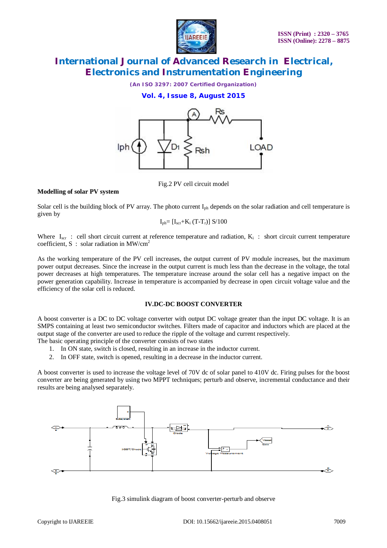

*(An ISO 3297: 2007 Certified Organization)*

**Vol. 4, Issue 8, August 2015**



Fig.2 PV cell circuit model

### **Modelling of solar PV system**

Solar cell is the building block of PV array. The photo current I<sub>ph</sub> depends on the solar radiation and cell temperature is given by

$$
I_{ph}=[I_{scr}+K_i (T-T_r)] S/100
$$

Where  $I_{scr}$ : cell short circuit current at reference temperature and radiation,  $K_i$ : short circuit current temperature coefficient, S : solar radiation in MW/cm<sup>2</sup>

As the working temperature of the PV cell increases, the output current of PV module increases, but the maximum power output decreases. Since the increase in the output current is much less than the decrease in the voltage, the total power decreases at high temperatures. The temperature increase around the solar cell has a negative impact on the power generation capability. Increase in temperature is accompanied by decrease in open circuit voltage value and the efficiency of the solar cell is reduced.

### **IV.DC-DC BOOST CONVERTER**

A boost converter is a DC to DC voltage converter with output DC voltage greater than the input DC voltage. It is an SMPS containing at least two semiconductor switches. Filters made of capacitor and inductors which are placed at the output stage of the converter are used to reduce the ripple of the voltage and current respectively.

The basic operating principle of the converter consists of two states

- 1. In ON state, switch is closed, resulting in an increase in the inductor current.
- 2. In OFF state, switch is opened, resulting in a decrease in the inductor current.

A boost converter is used to increase the voltage level of 70V dc of solar panel to 410V dc. Firing pulses for the boost converter are being generated by using two MPPT techniques; perturb and observe, incremental conductance and their results are being analysed separately.



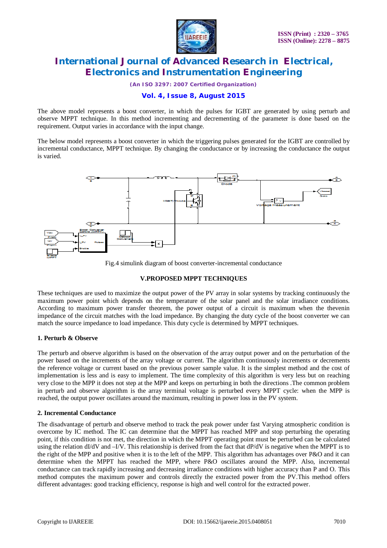

*(An ISO 3297: 2007 Certified Organization)*

# **Vol. 4, Issue 8, August 2015**

The above model represents a boost converter, in which the pulses for IGBT are generated by using perturb and observe MPPT technique. In this method incrementing and decrementing of the parameter is done based on the requirement. Output varies in accordance with the input change.

The below model represents a boost converter in which the triggering pulses generated for the IGBT are controlled by incremental conductance, MPPT technique. By changing the conductance or by increasing the conductance the output is varied.



Fig.4 simulink diagram of boost converter-incremental conductance

### **V.PROPOSED MPPT TECHNIQUES**

These techniques are used to maximize the output power of the PV array in solar systems by tracking continuously the maximum power point which depends on the temperature of the solar panel and the solar irradiance conditions. According to maximum power transfer theorem, the power output of a circuit is maximum when the thevenin impedance of the circuit matches with the load impedance. By changing the duty cycle of the boost converter we can match the source impedance to load impedance. This duty cycle is determined by MPPT techniques.

### **1. Perturb & Observe**

The perturb and observe algorithm is based on the observation of the array output power and on the perturbation of the power based on the increments of the array voltage or current. The algorithm continuously increments or decrements the reference voltage or current based on the previous power sample value. It is the simplest method and the cost of implementation is less and is easy to implement. The time complexity of this algorithm is very less but on reaching very close to the MPP it does not step at the MPP and keeps on perturbing in both the directions .The common problem in perturb and observe algorithm is the array terminal voltage is perturbed every MPPT cycle: when the MPP is reached, the output power oscillates around the maximum, resulting in power loss in the PV system.

### **2. Incremental Conductance**

The disadvantage of perturb and observe method to track the peak power under fast Varying atmospheric condition is overcome by IC method. The IC can determine that the MPPT has reached MPP and stop perturbing the operating point, if this condition is not met, the direction in which the MPPT operating point must be perturbed can be calculated using the relation dI/dV and –I/V. This relationship is derived from the fact that dP/dV is negative when the MPPT is to the right of the MPP and positive when it is to the left of the MPP. This algorithm has advantages over P&O and it can determine when the MPPT has reached the MPP, where P&O oscillates around the MPP. Also, incremental conductance can track rapidly increasing and decreasing irradiance conditions with higher accuracy than P and O. This method computes the maximum power and controls directly the extracted power from the PV.This method offers different advantages: good tracking efficiency, response is high and well control for the extracted power.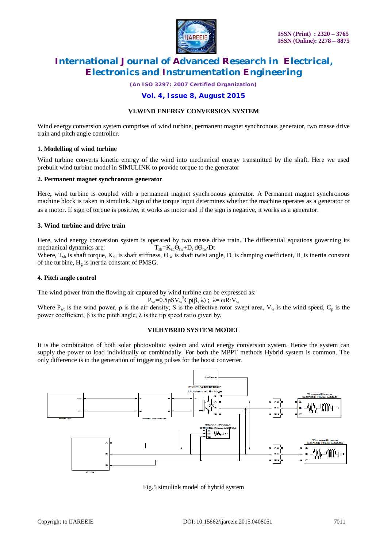

*(An ISO 3297: 2007 Certified Organization)*

# **Vol. 4, Issue 8, August 2015**

### **VI.WIND ENERGY CONVERSION SYSTEM**

Wind energy conversion system comprises of wind turbine, permanent magnet synchronous generator, two masse drive train and pitch angle controller.

#### **1. Modelling of wind turbine**

Wind turbine converts kinetic energy of the wind into mechanical energy transmitted by the shaft. Here we used prebuilt wind turbine model in SIMULINK to provide torque to the generator

#### **2. Permanent magnet synchronous generator**

Here**,** wind turbine is coupled with a permanent magnet synchronous generator. A Permanent magnet synchronous machine block is taken in simulink. Sign of the torque input determines whether the machine operates as a generator or as a motor. If sign of torque is positive, it works as motor and if the sign is negative, it works as a generator.

#### **3. Wind turbine and drive train**

Here, wind energy conversion system is operated by two masse drive train. The differential equations governing its mechanical dynamics are:  $T_{sh} = K_{sh} \Theta_{tw} + D_t d\Theta_{tw}/Dt$ 

Where,  $T_{sh}$  is shaft torque,  $K_{sh}$  is shaft stiffness,  $\Theta_{tw}$  is shaft twist angle,  $D_t$  is damping coefficient,  $H_t$  is inertia constant of the turbine,  $H_g$  is inertia constant of PMSG.

### **4. Pitch angle control**

The wind power from the flowing air captured by wind turbine can be expressed as:

$$
P_{wt} = 0.5 \rho S V_w^3 C p(\beta, \lambda) ; \ \lambda = \omega R / V_w
$$

Where  $P_{wt}$  is the wind power,  $\rho$  is the air density; S is the effective rotor swept area,  $V_w$  is the wind speed,  $C_p$  is the power coefficient,  $β$  is the pitch angle,  $λ$  is the tip speed ratio given by,

### **VII.HYBRID SYSTEM MODEL**

It is the combination of both solar photovoltaic system and wind energy conversion system. Hence the system can supply the power to load individually or combindally. For both the MPPT methods Hybrid system is common. The only difference is in the generation of triggering pulses for the boost converter.



Fig.5 simulink model of hybrid system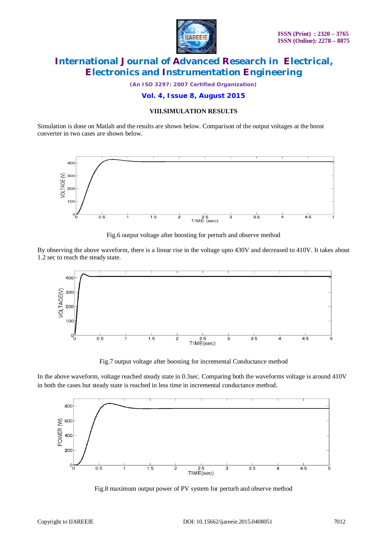

*(An ISO 3297: 2007 Certified Organization)*

**Vol. 4, Issue 8, August 2015**

# **VIII.SIMULATION RESULTS**

Simulation is done on Matlab and the results are shown below. Comparison of the output voltages at the boost converter in two cases are shown below.



Fig.6 output voltage after boosting for perturb and observe method

By observing the above waveform, there is a linear rise in the voltage upto 430V and decreased to 410V. It takes about 1.2 sec to reach the steady state.



Fig.7 output voltage after boosting for incremental Conductance method

In the above waveform, voltage reached steady state in 0.3sec. Comparing both the waveforms voltage is around 410V in both the cases but steady state is reached in less time in incremental conductance method.



Fig.8 maximum output power of PV system for perturb and observe method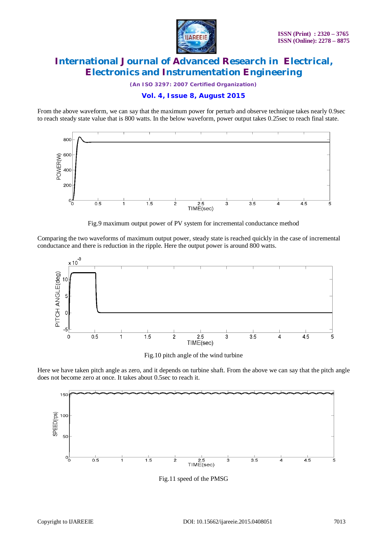

*(An ISO 3297: 2007 Certified Organization)*

# **Vol. 4, Issue 8, August 2015**

From the above waveform, we can say that the maximum power for perturb and observe technique takes nearly 0.9sec to reach steady state value that is 800 watts. In the below waveform, power output takes 0.25sec to reach final state.



Fig.9 maximum output power of PV system for incremental conductance method

Comparing the two waveforms of maximum output power, steady state is reached quickly in the case of incremental conductance and there is reduction in the ripple. Here the output power is around 800 watts.



Fig.10 pitch angle of the wind turbine

Here we have taken pitch angle as zero, and it depends on turbine shaft. From the above we can say that the pitch angle does not become zero at once. It takes about 0.5sec to reach it.



Fig.11 speed of the PMSG